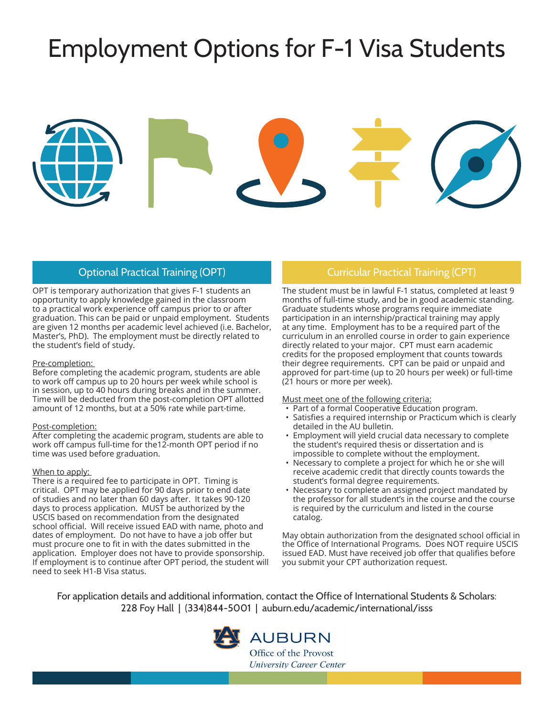# Employment Options for F-1 Visa Students



OPT is temporary authorization that gives F-1 students an opportunity to apply knowledge gained in the classroom to a practical work experience off campus prior to or after graduation. This can be paid or unpaid employment. Students are given 12 months per academic level achieved (i.e. Bachelor, Master's, PhD). The employment must be directly related to the student's field of study.

#### Pre-completion:

Before completing the academic program, students are able to work off campus up to 20 hours per week while school is in session, up to 40 hours during breaks and in the summer. Time will be deducted from the post-completion OPT allotted amount of 12 months, but at a 50% rate while part-time.

#### Post-completion:

After completing the academic program, students are able to work off campus full-time for the12-month OPT period if no time was used before graduation.

#### When to apply:

There is a required fee to participate in OPT. Timing is critical. OPT may be applied for 90 days prior to end date of studies and no later than 60 days after. It takes 90-120 days to process application. MUST be authorized by the USCIS based on recommendation from the designated school official. Will receive issued EAD with name, photo and dates of employment. Do not have to have a job offer but must procure one to fit in with the dates submitted in the application. Employer does not have to provide sponsorship. If employment is to continue after OPT period, the student will need to seek H1-B Visa status.

#### Optional Practical Training (OPT) Curricular Practical Training (CPT)

The student must be in lawful F-1 status, completed at least 9 months of full-time study, and be in good academic standing. Graduate students whose programs require immediate participation in an internship/practical training may apply at any time. Employment has to be a required part of the curriculum in an enrolled course in order to gain experience directly related to your major. CPT must earn academic credits for the proposed employment that counts towards their degree requirements. CPT can be paid or unpaid and approved for part-time (up to 20 hours per week) or full-time (21 hours or more per week).

Must meet one of the following criteria:

- Part of a formal Cooperative Education program.
- Satisfies a required internship or Practicum which is clearly detailed in the AU bulletin.
- Employment will yield crucial data necessary to complete the student's required thesis or dissertation and is impossible to complete without the employment.
- Necessary to complete a project for which he or she will receive academic credit that directly counts towards the student's formal degree requirements.
- Necessary to complete an assigned project mandated by the professor for all student's in the course and the course is required by the curriculum and listed in the course catalog.

May obtain authorization from the designated school official in the Office of International Programs. Does NOT require USCIS issued EAD. Must have received job offer that qualifies before you submit your CPT authorization request.

For application details and additional information, contact the Office of International Students & Scholars: 228 Foy Hall | (334)844-5001 | auburn.edu/academic/international/isss



## **AUBURN**

Office of the Provost University Career Center